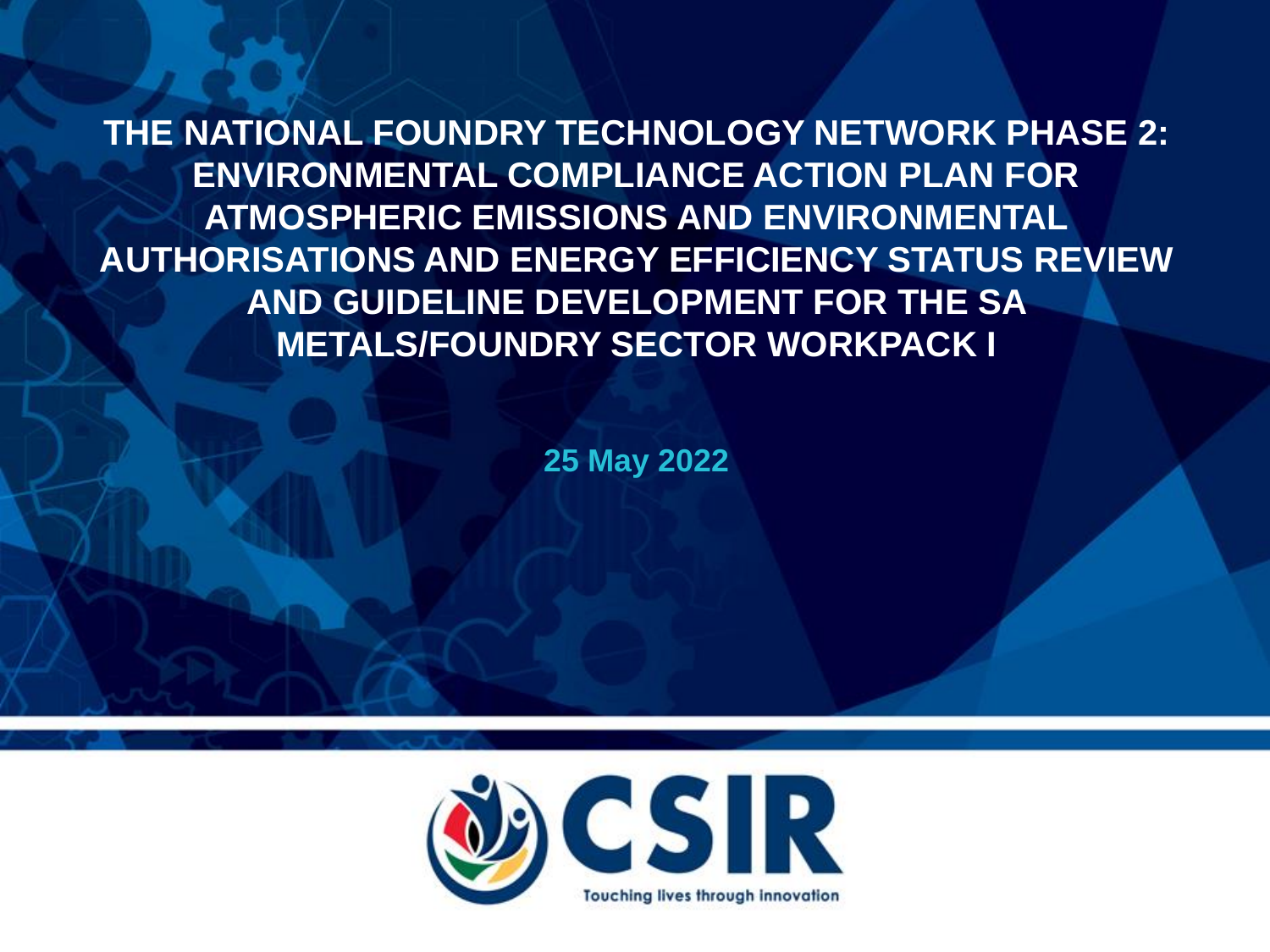**THE NATIONAL FOUNDRY TECHNOLOGY NETWORK PHASE 2: ENVIRONMENTAL COMPLIANCE ACTION PLAN FOR ATMOSPHERIC EMISSIONS AND ENVIRONMENTAL AUTHORISATIONS AND ENERGY EFFICIENCY STATUS REVIEW AND GUIDELINE DEVELOPMENT FOR THE SA METALS/FOUNDRY SECTOR WORKPACK I**

**25 May 2022**

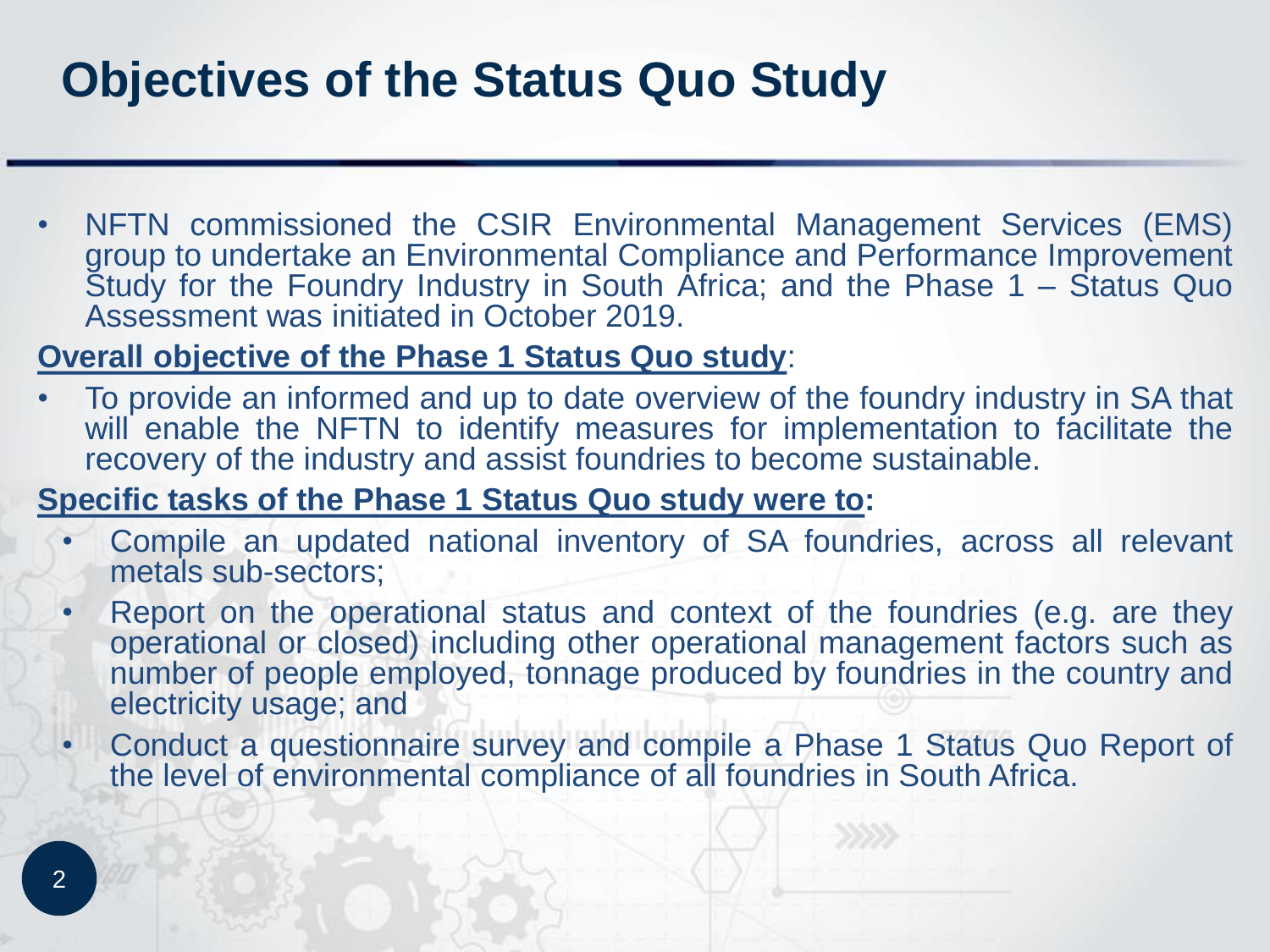### **Objectives of the Status Quo Study**

• NFTN commissioned the CSIR Environmental Management Services (EMS) group to undertake an Environmental Compliance and Performance Improvement Study for the Foundry Industry in South Africa; and the Phase 1 – Status Quo Assessment was initiated in October 2019.

#### **Overall objective of the Phase 1 Status Quo study**:

• To provide an informed and up to date overview of the foundry industry in SA that will enable the NFTN to identify measures for implementation to facilitate the recovery of the industry and assist foundries to become sustainable.

#### **Specific tasks of the Phase 1 Status Quo study were to:**

- Compile an updated national inventory of SA foundries, across all relevant metals sub-sectors;
- Report on the operational status and context of the foundries (e.g. are they operational or closed) including other operational management factors such as number of people employed, tonnage produced by foundries in the country and electricity usage; and
- Conduct a questionnaire survey and compile a Phase 1 Status Quo Report of the level of environmental compliance of all foundries in South Africa.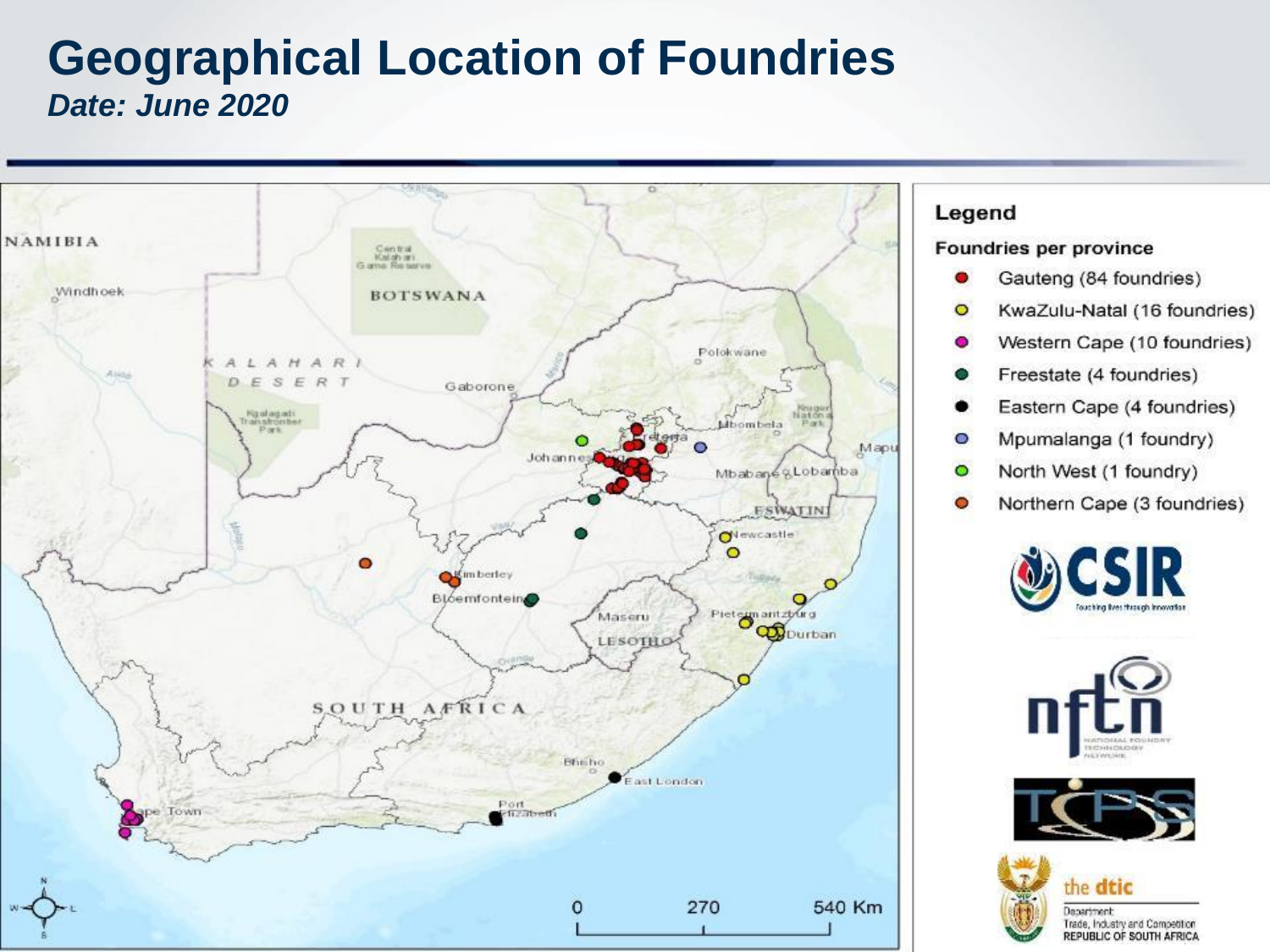#### **Geographical Location of Foundries** *Date: June 2020*



#### Legend

#### Foundries per province

- Gauteng (84 foundries) o
- $\circ$ KwaZulu-Natal (16 foundries)
- Western Cape (10 foundries) o
- Freestate (4 foundries)
- Eastern Cape (4 foundries)
- Mpumalanga (1 foundry)  $\circ$
- North West (1 foundry)  $\bullet$
- Northern Cape (3 foundries)  $\bullet$







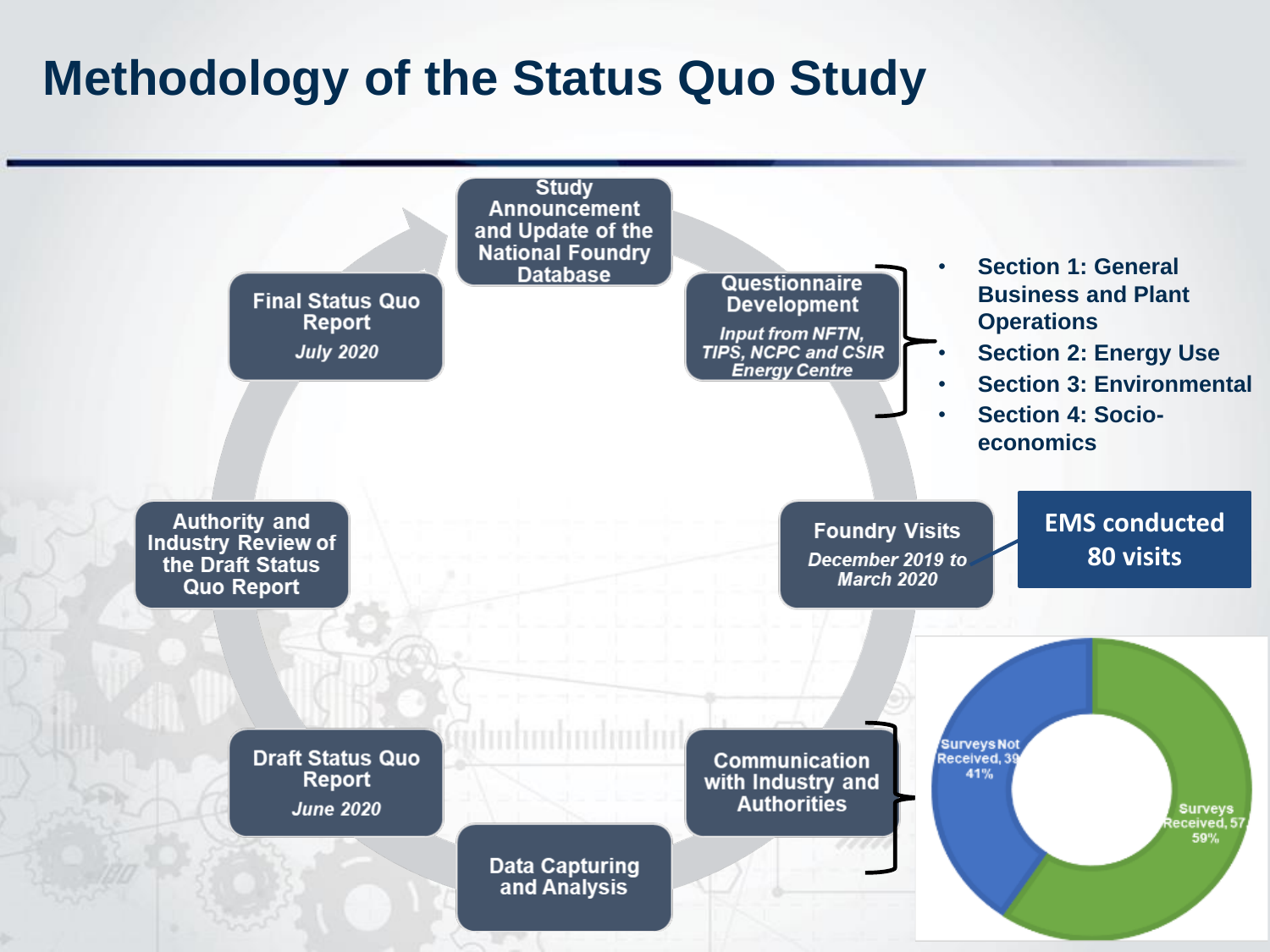### **Methodology of the Status Quo Study**

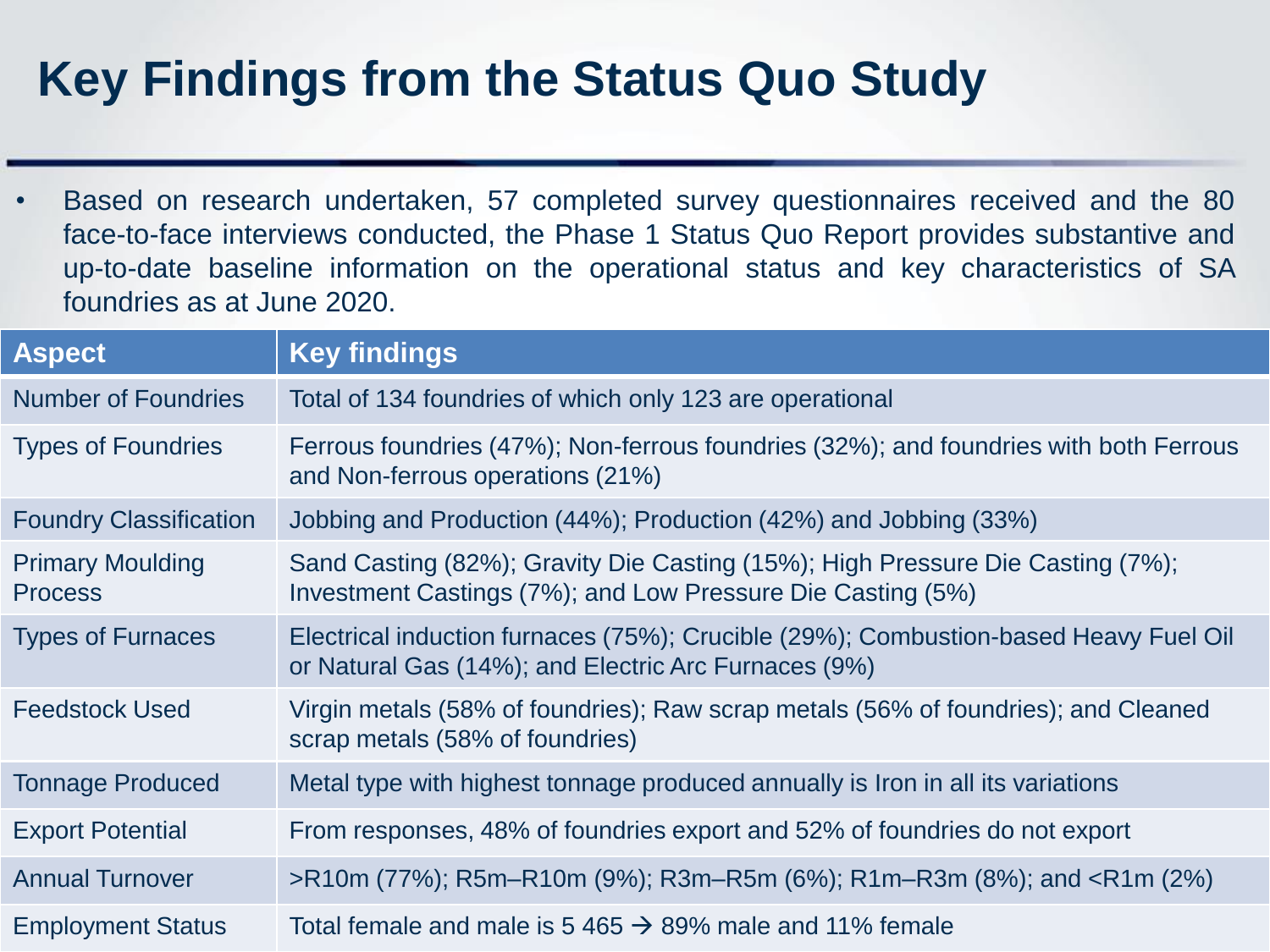# **Key Findings from the Status Quo Study**

• Based on research undertaken, 57 completed survey questionnaires received and the 80 face-to-face interviews conducted, the Phase 1 Status Quo Report provides substantive and up-to-date baseline information on the operational status and key characteristics of SA foundries as at June 2020.

| <b>Aspect</b>                             | <b>Key findings</b>                                                                                                                           |
|-------------------------------------------|-----------------------------------------------------------------------------------------------------------------------------------------------|
| <b>Number of Foundries</b>                | Total of 134 foundries of which only 123 are operational                                                                                      |
| <b>Types of Foundries</b>                 | Ferrous foundries (47%); Non-ferrous foundries (32%); and foundries with both Ferrous<br>and Non-ferrous operations (21%)                     |
| <b>Foundry Classification</b>             | Jobbing and Production (44%); Production (42%) and Jobbing (33%)                                                                              |
| <b>Primary Moulding</b><br><b>Process</b> | Sand Casting (82%); Gravity Die Casting (15%); High Pressure Die Casting (7%);<br>Investment Castings (7%); and Low Pressure Die Casting (5%) |
| <b>Types of Furnaces</b>                  | Electrical induction furnaces (75%); Crucible (29%); Combustion-based Heavy Fuel Oil<br>or Natural Gas (14%); and Electric Arc Furnaces (9%)  |
| <b>Feedstock Used</b>                     | Virgin metals (58% of foundries); Raw scrap metals (56% of foundries); and Cleaned<br>scrap metals (58% of foundries)                         |
| <b>Tonnage Produced</b>                   | Metal type with highest tonnage produced annually is Iron in all its variations                                                               |
| <b>Export Potential</b>                   | From responses, 48% of foundries export and 52% of foundries do not export                                                                    |
| <b>Annual Turnover</b>                    | >R10m (77%); R5m-R10m (9%); R3m-R5m (6%); R1m-R3m (8%); and <r1m (2%)<="" td=""></r1m>                                                        |
| <b>Employment Status</b>                  | Total female and male is 5 465 $\rightarrow$ 89% male and 11% female                                                                          |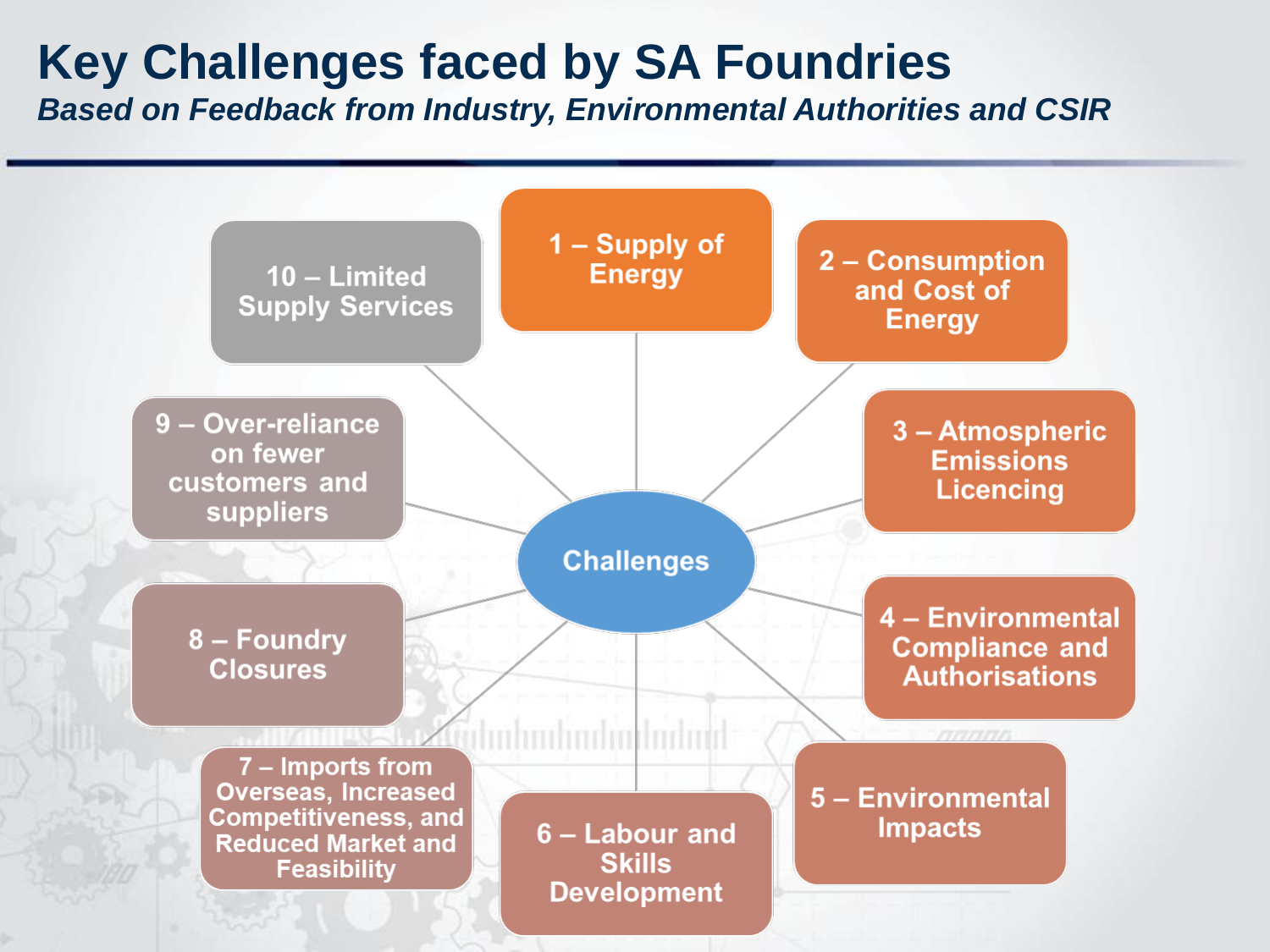# **Key Challenges faced by SA Foundries**

*Based on Feedback from Industry, Environmental Authorities and CSIR*

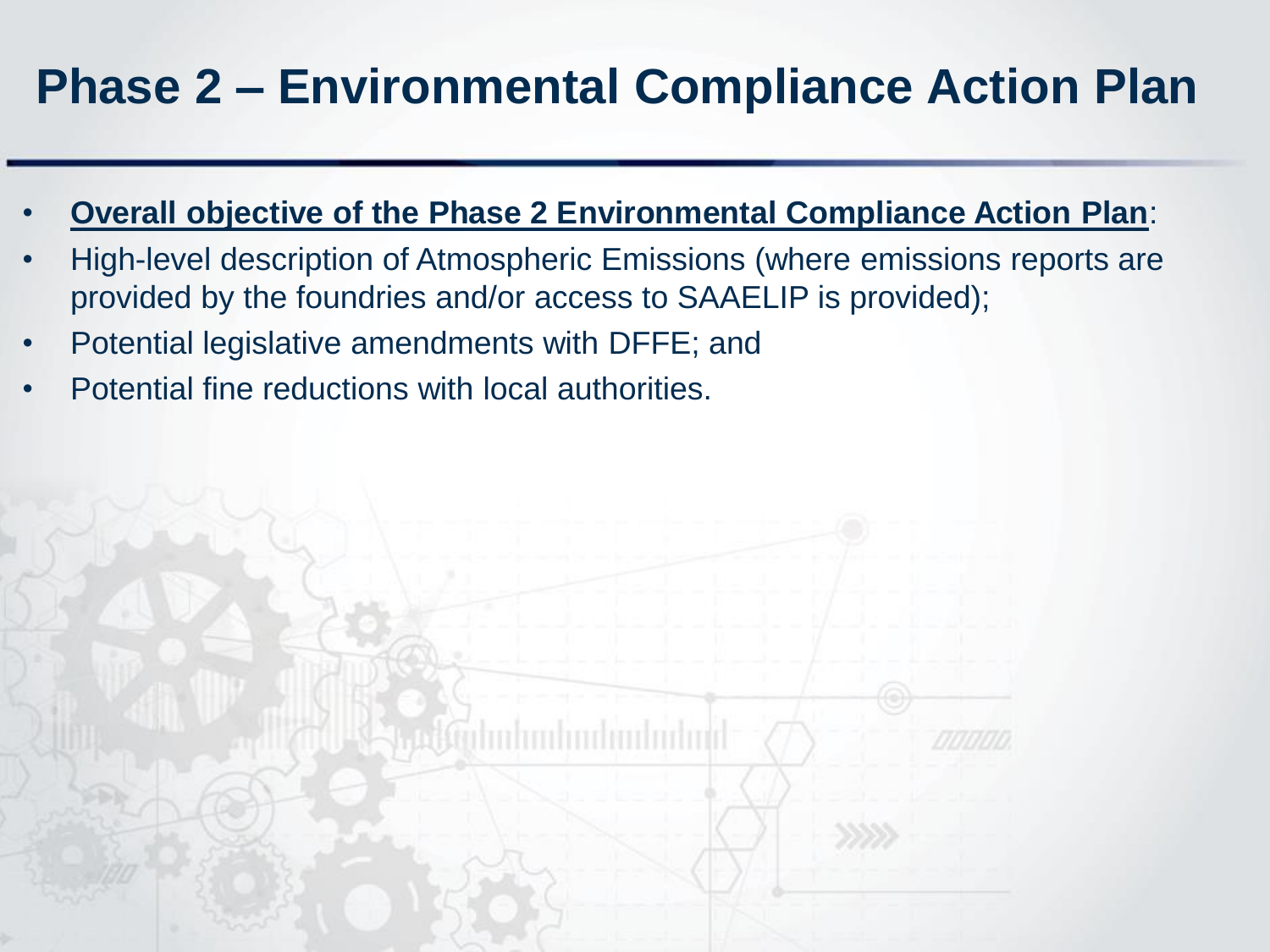# **Phase 2 – Environmental Compliance Action Plan**

- **Overall objective of the Phase 2 Environmental Compliance Action Plan**:
- High-level description of Atmospheric Emissions (where emissions reports are provided by the foundries and/or access to SAAELIP is provided);
- Potential legislative amendments with DFFE; and
- Potential fine reductions with local authorities.

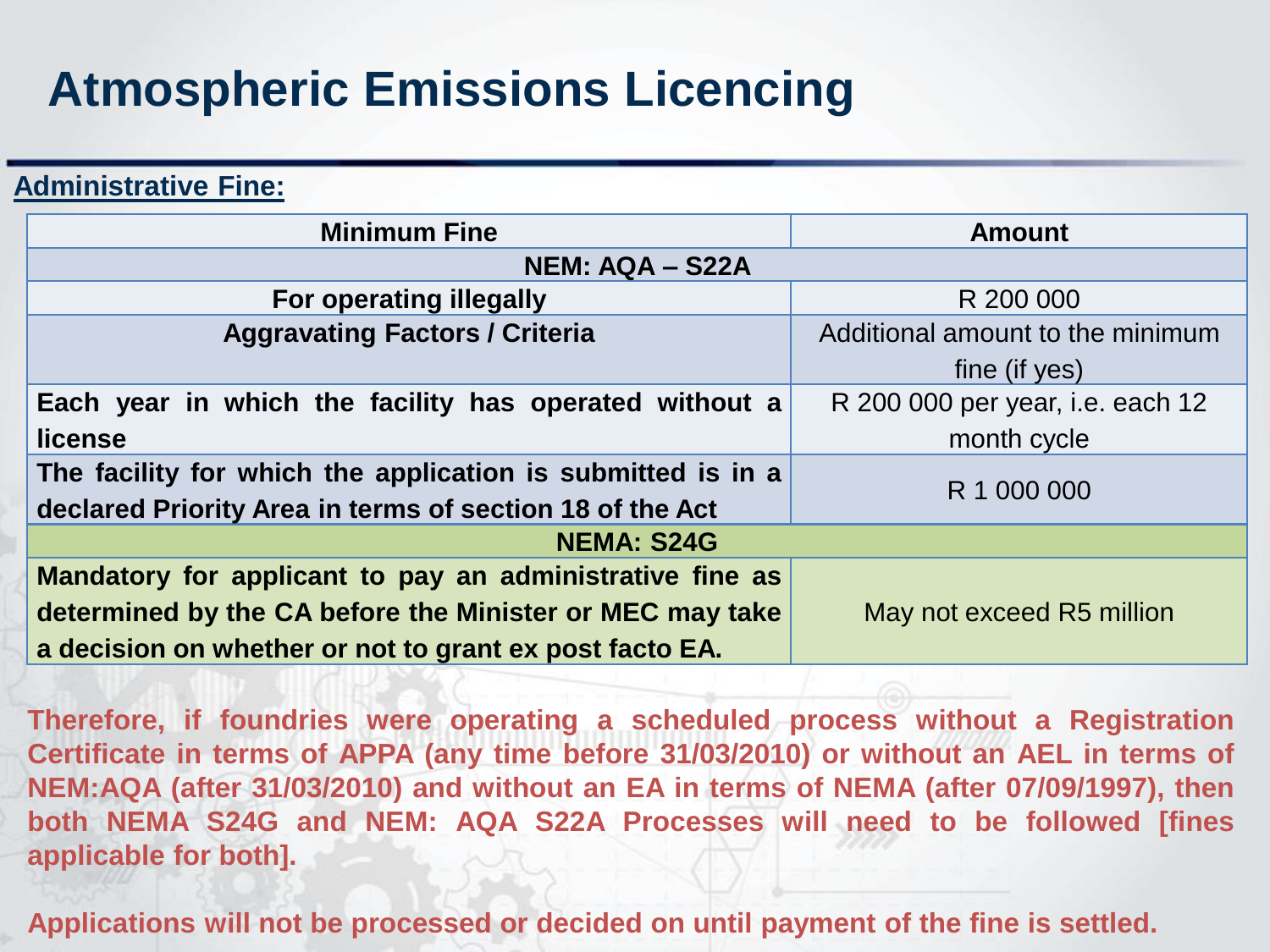# **Atmospheric Emissions Licencing**

**Administrative Fine:**

| <b>Minimum Fine</b>                                                     | <b>Amount</b>                    |  |  |
|-------------------------------------------------------------------------|----------------------------------|--|--|
| <b>NEM: AQA - S22A</b>                                                  |                                  |  |  |
| <b>For operating illegally</b>                                          | R 200 000                        |  |  |
| <b>Aggravating Factors / Criteria</b>                                   | Additional amount to the minimum |  |  |
|                                                                         | fine (if yes)                    |  |  |
| Each year in which the facility has operated without a                  | R 200 000 per year, i.e. each 12 |  |  |
| license                                                                 | month cycle                      |  |  |
| The facility for which the application is submitted is in a             |                                  |  |  |
| R 1 000 000<br>declared Priority Area in terms of section 18 of the Act |                                  |  |  |
| <b>NEMA: S24G</b>                                                       |                                  |  |  |
| Mandatory for applicant to pay an administrative fine as                |                                  |  |  |
| determined by the CA before the Minister or MEC may take                | May not exceed R5 million        |  |  |
| a decision on whether or not to grant ex post facto EA.                 |                                  |  |  |

**Therefore, if foundries were operating a scheduled process without a Registration Certificate in terms of APPA (any time before 31/03/2010) or without an AEL in terms of NEM:AQA (after 31/03/2010) and without an EA in terms of NEMA (after 07/09/1997), then both NEMA S24G and NEM: AQA S22A Processes will need to be followed [fines applicable for both].**

**Applications will not be processed or decided on until payment of the fine is settled.**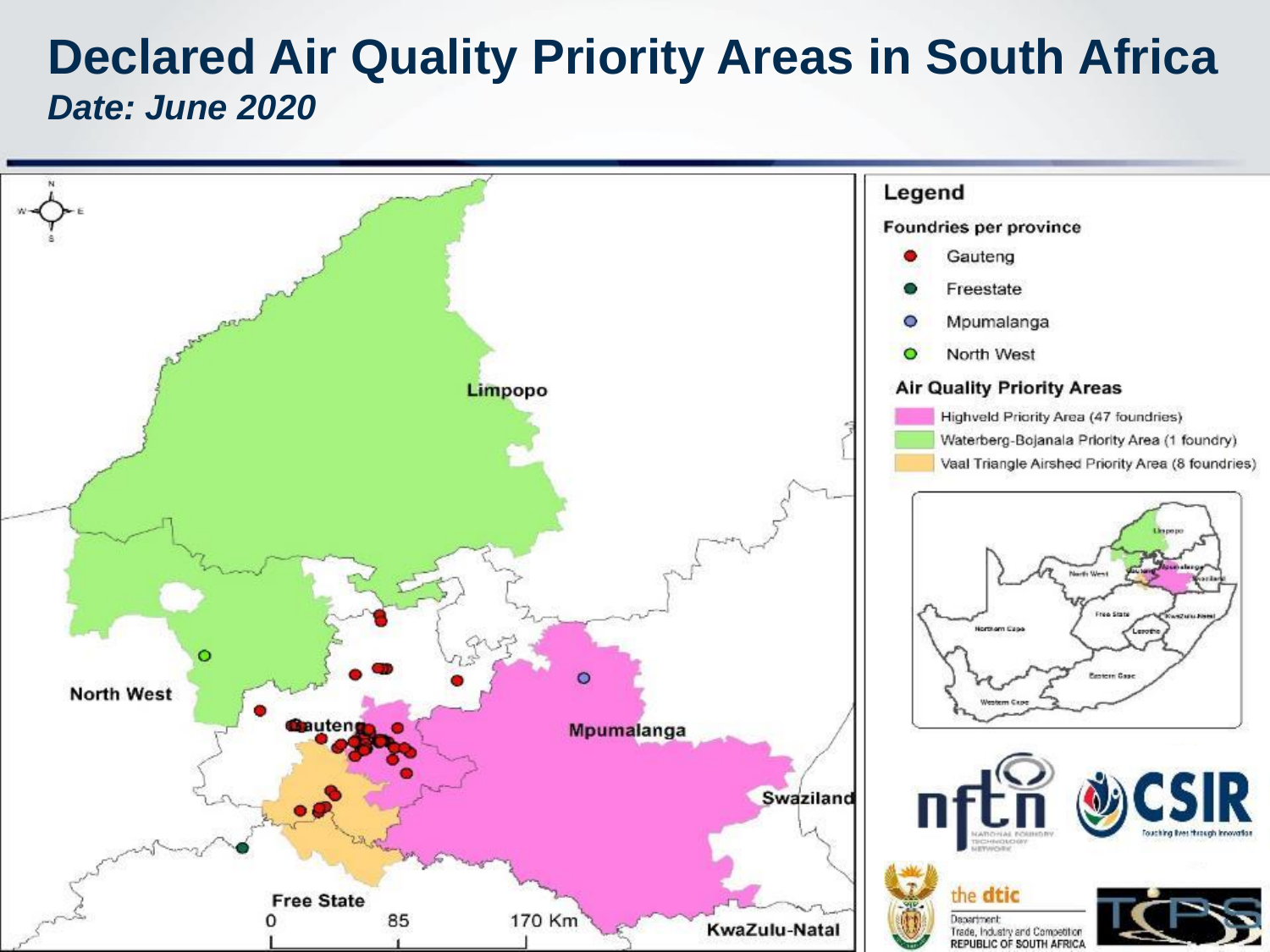#### **Declared Air Quality Priority Areas in South Africa** *Date: June 2020*

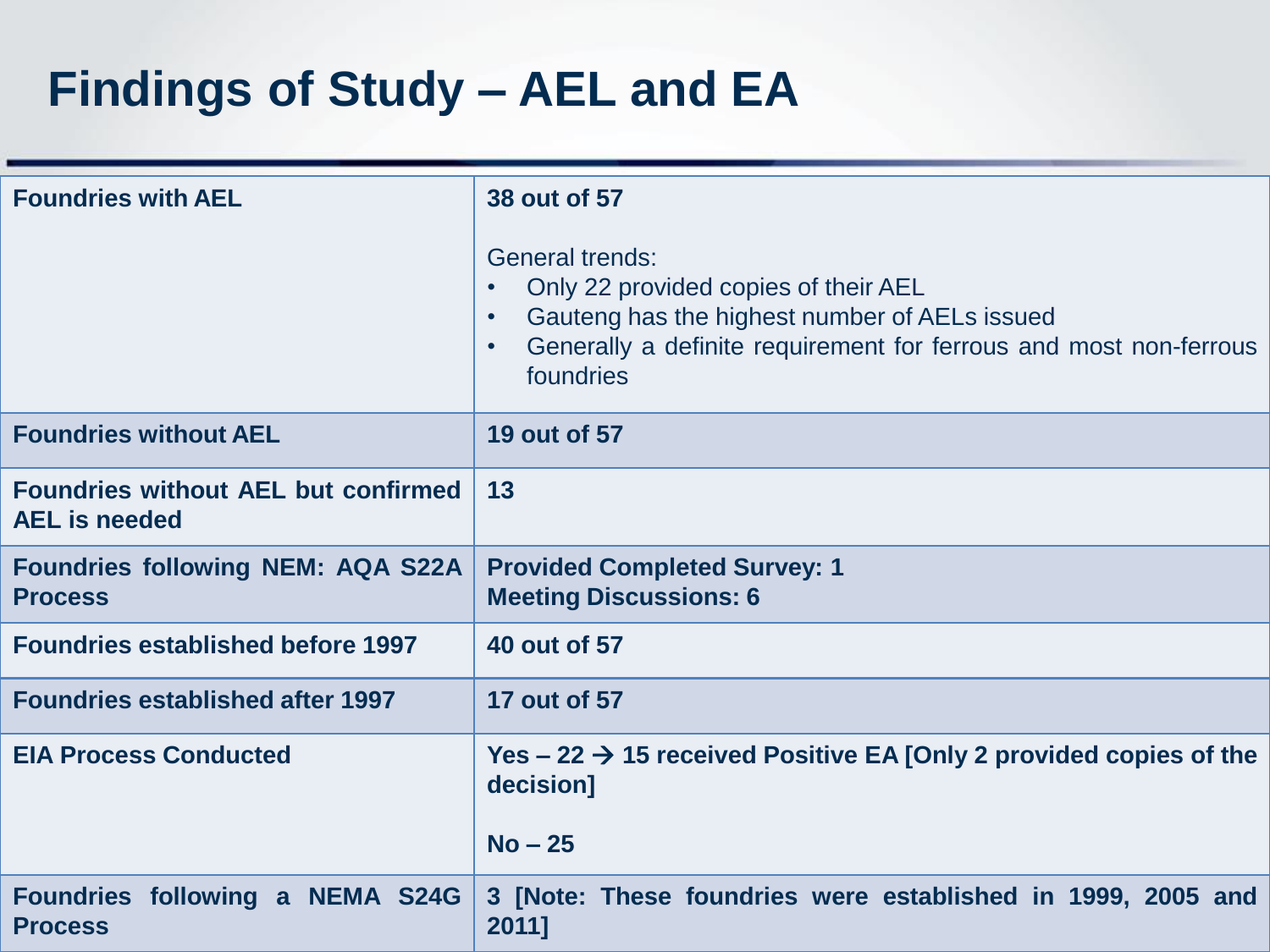# **Findings of Study – AEL and EA**

| <b>Foundries with AEL</b>                                          | 38 out of 57<br><b>General trends:</b><br>Only 22 provided copies of their AEL<br>Gauteng has the highest number of AELs issued<br>$\bullet$<br>Generally a definite requirement for ferrous and most non-ferrous<br>foundries |
|--------------------------------------------------------------------|--------------------------------------------------------------------------------------------------------------------------------------------------------------------------------------------------------------------------------|
| <b>Foundries without AEL</b>                                       | 19 out of 57                                                                                                                                                                                                                   |
| <b>Foundries without AEL but confirmed</b><br><b>AEL</b> is needed | 13                                                                                                                                                                                                                             |
| <b>Foundries following NEM: AQA S22A</b><br><b>Process</b>         | <b>Provided Completed Survey: 1</b><br><b>Meeting Discussions: 6</b>                                                                                                                                                           |
| <b>Foundries established before 1997</b>                           | <b>40 out of 57</b>                                                                                                                                                                                                            |
| <b>Foundries established after 1997</b>                            | 17 out of 57                                                                                                                                                                                                                   |
| <b>EIA Process Conducted</b>                                       | Yes $-22 \rightarrow 15$ received Positive EA [Only 2 provided copies of the<br>decision]                                                                                                                                      |
|                                                                    | $No - 25$                                                                                                                                                                                                                      |
| Foundries following a NEMA S24G<br><b>Process</b>                  | 3 [Note: These foundries were established in 1999, 2005 and<br>2011]                                                                                                                                                           |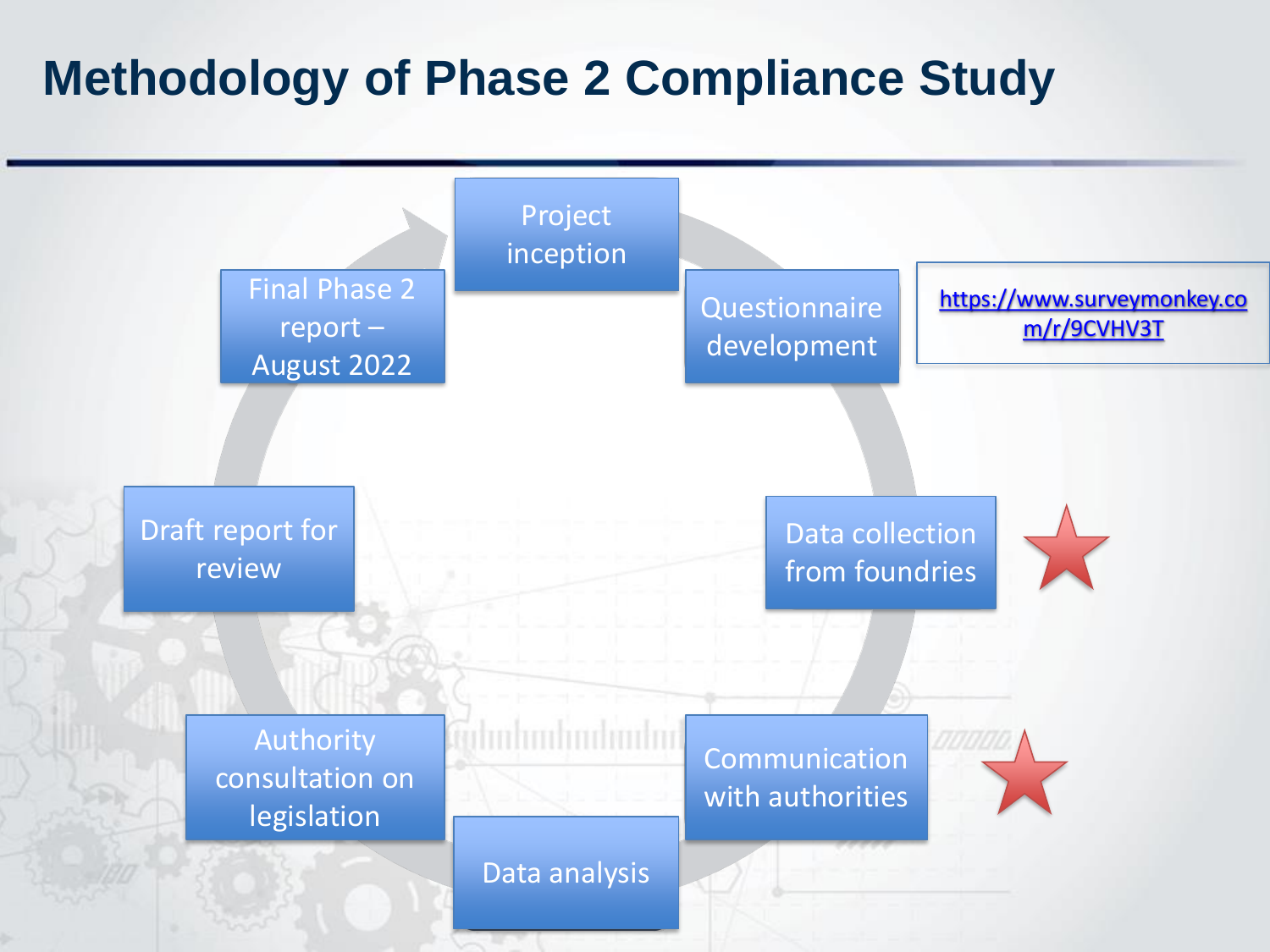### **Methodology of Phase 2 Compliance Study**

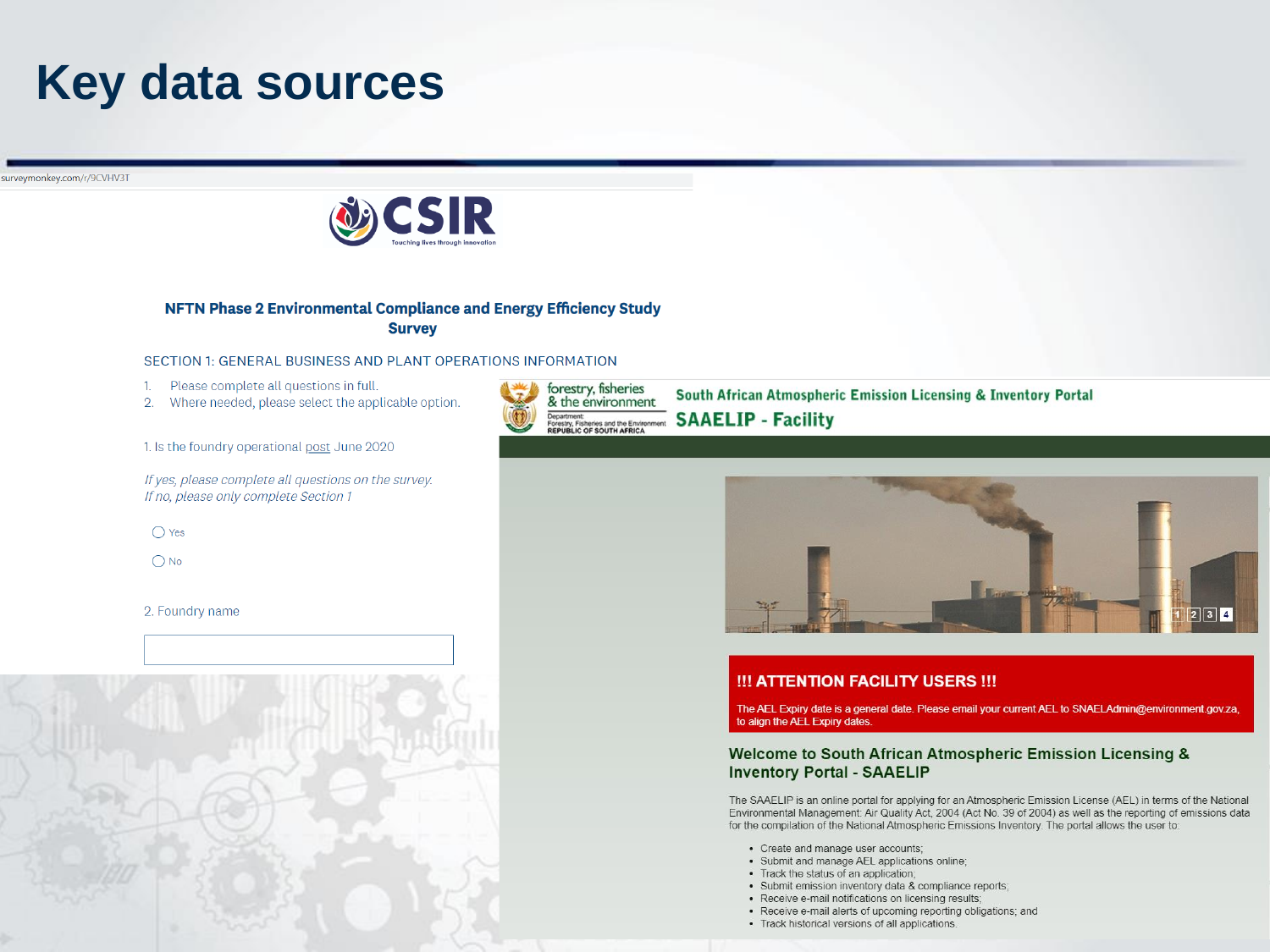### **Key data sources**

surveymonkey.com/r/9CVHV3T



#### NFTN Phase 2 Environmental Compliance and Energy Efficiency Study **Survey**

#### SECTION 1: GENERAL BUSINESS AND PLANT OPERATIONS INFORMATION

- Please complete all questions in full. 1.
- 2. Where needed, please select the applicable option.

1. Is the foundry operational post June 2020

If yes, please complete all questions on the survey. If no, please only complete Section 1

 $\bigcirc$  Yes

 $\bigcirc$  No

2. Foundry name



South African Atmospheric Emission Licensing & Inventory Portal **SAAELIP - Facility** 



#### !!! ATTENTION FACILITY USERS !!!

The AEL Expiry date is a general date. Please email your current AEL to SNAELAdmin@environment.gov.za, to align the AEL Expiry dates.

#### Welcome to South African Atmospheric Emission Licensing & **Inventory Portal - SAAELIP**

The SAAELIP is an online portal for applying for an Atmospheric Emission License (AEL) in terms of the National Environmental Management: Air Quality Act, 2004 (Act No. 39 of 2004) as well as the reporting of emissions data for the compilation of the National Atmospheric Emissions Inventory. The portal allows the user to:

- Create and manage user accounts;
- · Submit and manage AEL applications online;
- Track the status of an application;
- · Submit emission inventory data & compliance reports;
- Receive e-mail notifications on licensing results;
- Receive e-mail alerts of upcoming reporting obligations; and
- Track historical versions of all applications.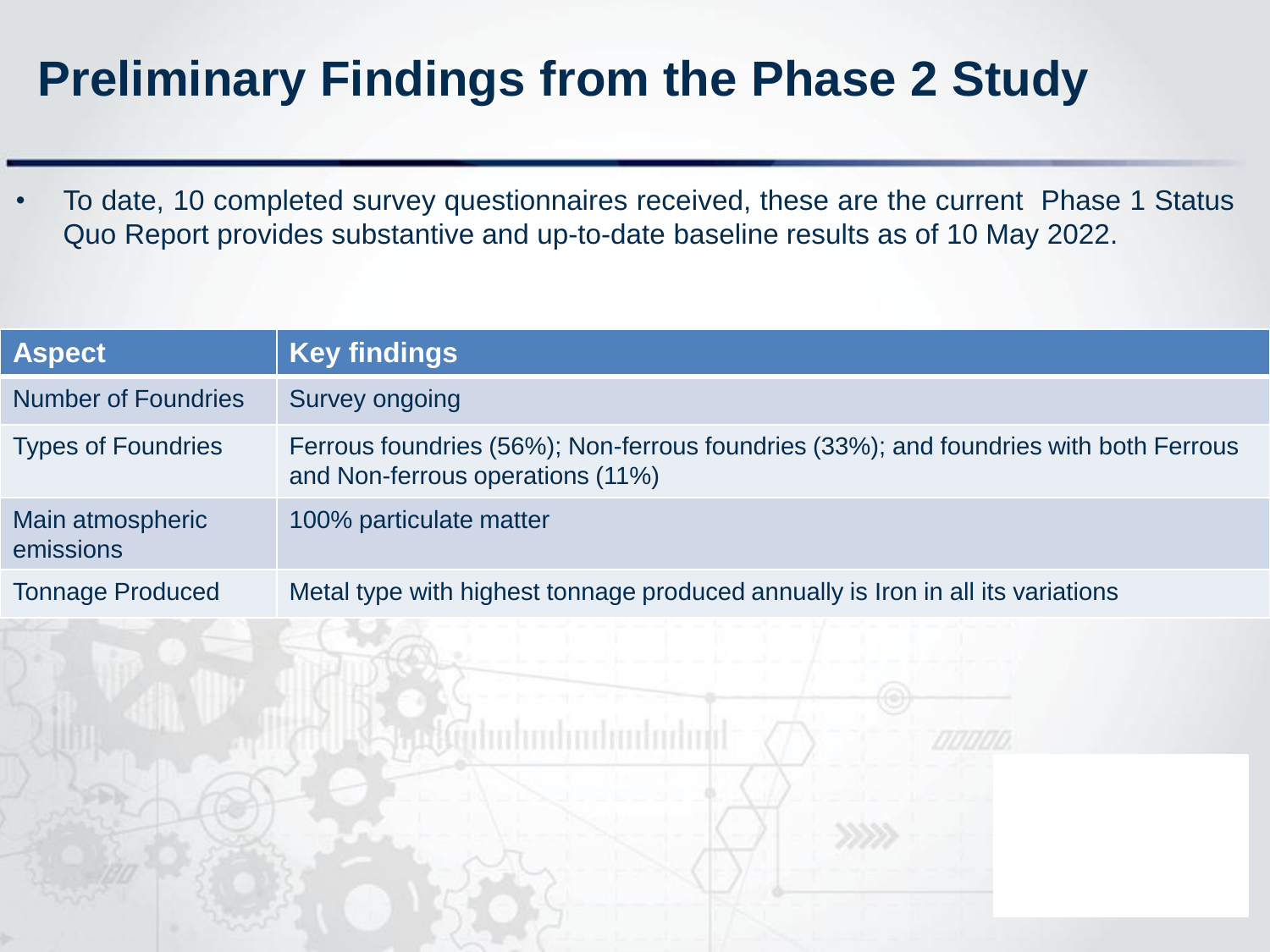# **Preliminary Findings from the Phase 2 Study**

• To date, 10 completed survey questionnaires received, these are the current Phase 1 Status Quo Report provides substantive and up-to-date baseline results as of 10 May 2022.

| <b>Aspect</b>                 | <b>Key findings</b>                                                                                                       |
|-------------------------------|---------------------------------------------------------------------------------------------------------------------------|
| <b>Number of Foundries</b>    | Survey ongoing                                                                                                            |
| <b>Types of Foundries</b>     | Ferrous foundries (56%); Non-ferrous foundries (33%); and foundries with both Ferrous<br>and Non-ferrous operations (11%) |
| Main atmospheric<br>emissions | 100% particulate matter                                                                                                   |
| <b>Tonnage Produced</b>       | Metal type with highest tonnage produced annually is Iron in all its variations                                           |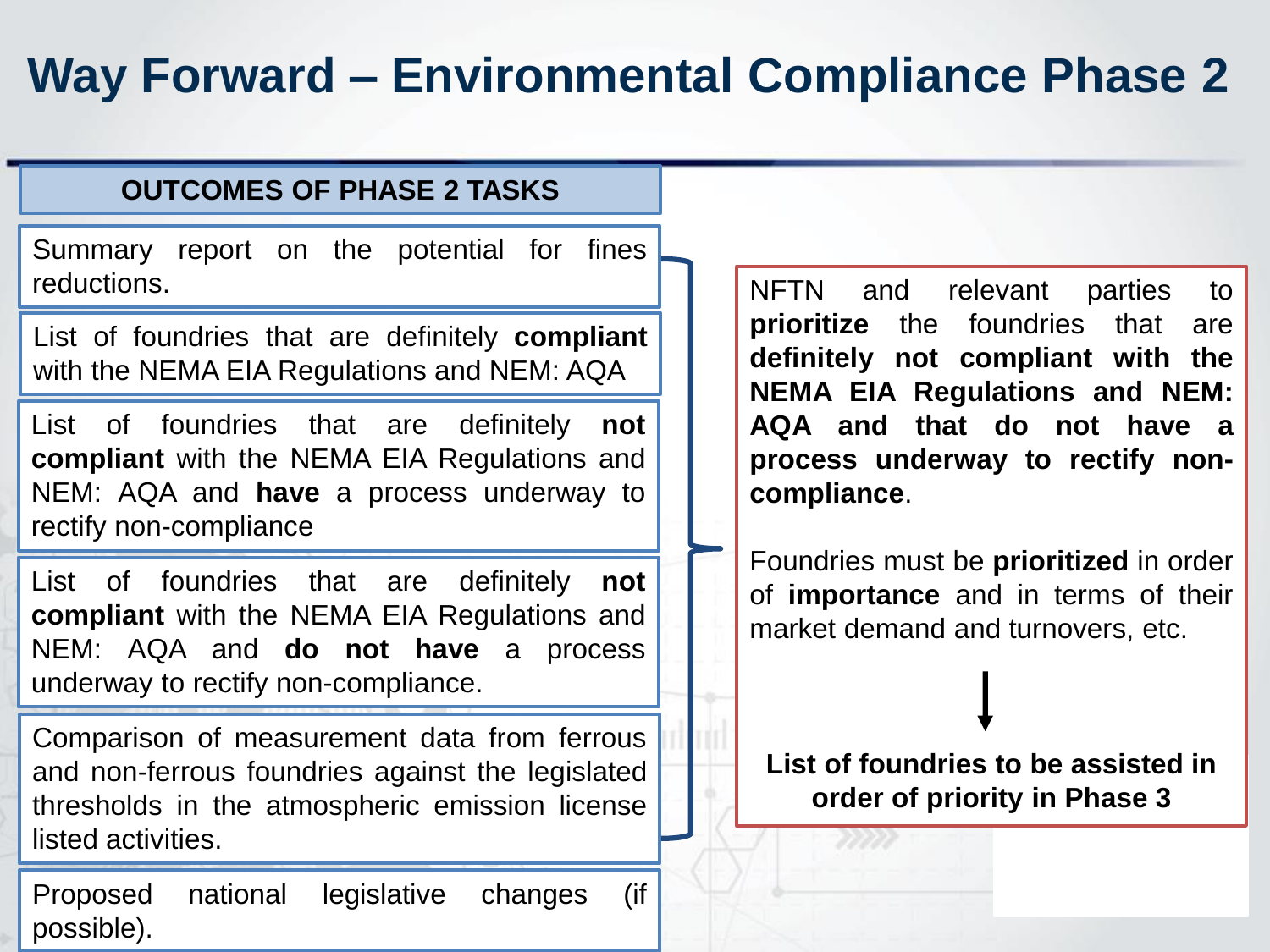# **Way Forward – Environmental Compliance Phase 2**

#### **OUTCOMES OF PHASE 2 TASKS**

Summary report on the potential for fines reductions.

List of foundries that are definitely **compliant** with the NEMA EIA Regulations and NEM: AQA

List of foundries that are definitely **not compliant** with the NEMA EIA Regulations and NEM: AQA and **have** a process underway to rectify non-compliance

List of foundries that are definitely **not compliant** with the NEMA EIA Regulations and NEM: AQA and **do not have** a process underway to rectify non-compliance.

Comparison of measurement data from ferrous and non-ferrous foundries against the legislated thresholds in the atmospheric emission license listed activities.

Proposed national legislative changes (if possible).

NFTN and relevant parties to **prioritize** the foundries that are **definitely not compliant with the NEMA EIA Regulations and NEM: AQA and that do not have a process underway to rectify noncompliance**.

Foundries must be **prioritized** in order of **importance** and in terms of their market demand and turnovers, etc.

**List of foundries to be assisted in order of priority in Phase 3**